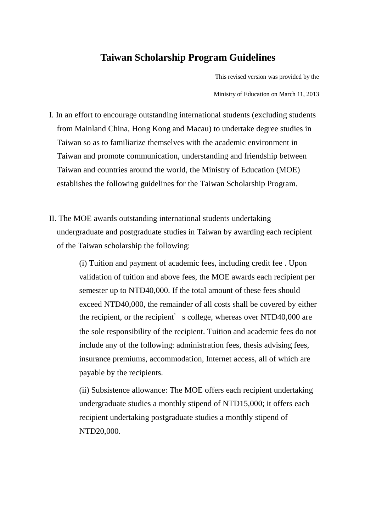# **Taiwan Scholarship Program Guidelines**

This revised version was provided by the

Ministry of Education on March 11, 2013

- I. In an effort to encourage outstanding international students (excluding students from Mainland China, Hong Kong and Macau) to undertake degree studies in Taiwan so as to familiarize themselves with the academic environment in Taiwan and promote communication, understanding and friendship between Taiwan and countries around the world, the Ministry of Education (MOE) establishes the following guidelines for the Taiwan Scholarship Program.
- II. The MOE awards outstanding international students undertaking undergraduate and postgraduate studies in Taiwan by awarding each recipient of the Taiwan scholarship the following:

(i) Tuition and payment of academic fees, including credit fee . Upon validation of tuition and above fees, the MOE awards each recipient per semester up to NTD40,000. If the total amount of these fees should exceed NTD40,000, the remainder of all costs shall be covered by either the recipient, or the recipient's college, whereas over NTD40,000 are the sole responsibility of the recipient. Tuition and academic fees do not include any of the following: administration fees, thesis advising fees, insurance premiums, accommodation, Internet access, all of which are payable by the recipients.

(ii) Subsistence allowance: The MOE offers each recipient undertaking undergraduate studies a monthly stipend of NTD15,000; it offers each recipient undertaking postgraduate studies a monthly stipend of NTD20,000.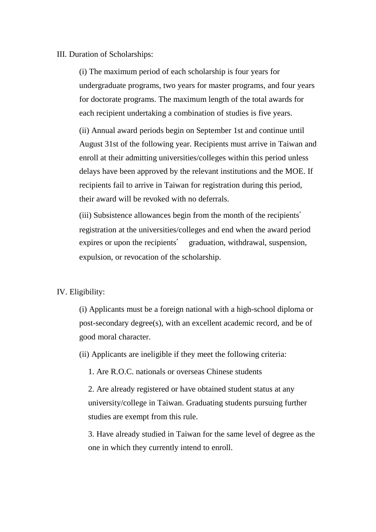# III. Duration of Scholarships:

(i) The maximum period of each scholarship is four years for undergraduate programs, two years for master programs, and four years for doctorate programs. The maximum length of the total awards for each recipient undertaking a combination of studies is five years.

(ii) Annual award periods begin on September 1st and continue until August 31st of the following year. Recipients must arrive in Taiwan and enroll at their admitting universities/colleges within this period unless delays have been approved by the relevant institutions and the MOE. If recipients fail to arrive in Taiwan for registration during this period, their award will be revoked with no deferrals.

(iii) Subsistence allowances begin from the month of the recipients' registration at the universities/colleges and end when the award period expires or upon the recipients' graduation, withdrawal, suspension, expulsion, or revocation of the scholarship.

# IV. Eligibility:

(i) Applicants must be a foreign national with a high-school diploma or post-secondary degree(s), with an excellent academic record, and be of good moral character.

(ii) Applicants are ineligible if they meet the following criteria:

1. Are R.O.C. nationals or overseas Chinese students

2. Are already registered or have obtained student status at any university/college in Taiwan. Graduating students pursuing further studies are exempt from this rule.

3. Have already studied in Taiwan for the same level of degree as the one in which they currently intend to enroll.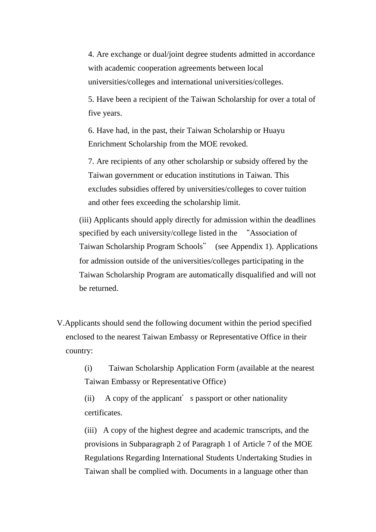4. Are exchange or dual/joint degree students admitted in accordance with academic cooperation agreements between local universities/colleges and international universities/colleges.

5. Have been a recipient of the Taiwan Scholarship for over a total of five years.

6. Have had, in the past, their Taiwan Scholarship or Huayu Enrichment Scholarship from the MOE revoked.

7. Are recipients of any other scholarship or subsidy offered by the Taiwan government or education institutions in Taiwan. This excludes subsidies offered by universities/colleges to cover tuition and other fees exceeding the scholarship limit.

(iii) Applicants should apply directly for admission within the deadlines specified by each university/college listed in the "Association of Taiwan Scholarship Program Schools" (see Appendix 1). Applications for admission outside of the universities/colleges participating in the Taiwan Scholarship Program are automatically disqualified and will not be returned.

V.Applicants should send the following document within the period specified enclosed to the nearest Taiwan Embassy or Representative Office in their country:

> (i) Taiwan Scholarship Application Form (available at the nearest Taiwan Embassy or Representative Office)

(ii) A copy of the applicant's passport or other nationality certificates.

(iii) A copy of the highest degree and academic transcripts, and the provisions in Subparagraph 2 of Paragraph 1 of Article 7 of the MOE Regulations Regarding International Students Undertaking Studies in Taiwan shall be complied with. Documents in a language other than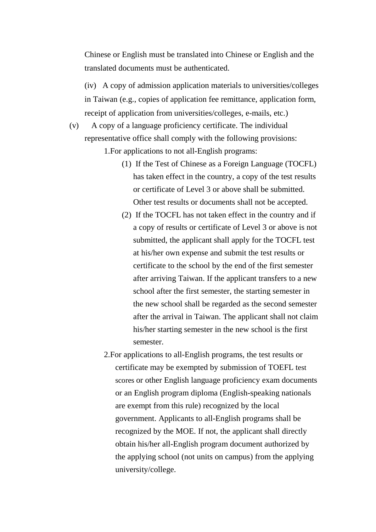Chinese or English must be translated into Chinese or English and the translated documents must be authenticated.

(iv) A copy of admission application materials to universities/colleges in Taiwan (e.g., copies of application fee remittance, application form, receipt of application from universities/colleges, e-mails, etc.)

(v) A copy of a language proficiency certificate. The individual representative office shall comply with the following provisions:

1.For applications to not all-English programs:

- (1) If the Test of Chinese as a Foreign Language (TOCFL) has taken effect in the country, a copy of the test results or certificate of Level 3 or above shall be submitted. Other test results or documents shall not be accepted.
- (2) If the TOCFL has not taken effect in the country and if a copy of results or certificate of Level 3 or above is not submitted, the applicant shall apply for the TOCFL test at his/her own expense and submit the test results or certificate to the school by the end of the first semester after arriving Taiwan. If the applicant transfers to a new school after the first semester, the starting semester in the new school shall be regarded as the second semester after the arrival in Taiwan. The applicant shall not claim his/her starting semester in the new school is the first semester.
- 2.For applications to all-English programs, the test results or certificate may be exempted by submission of TOEFL test scores or other English language proficiency exam documents or an English program diploma (English-speaking nationals are exempt from this rule) recognized by the local government. Applicants to all-English programs shall be recognized by the MOE. If not, the applicant shall directly obtain his/her all-English program document authorized by the applying school (not units on campus) from the applying university/college.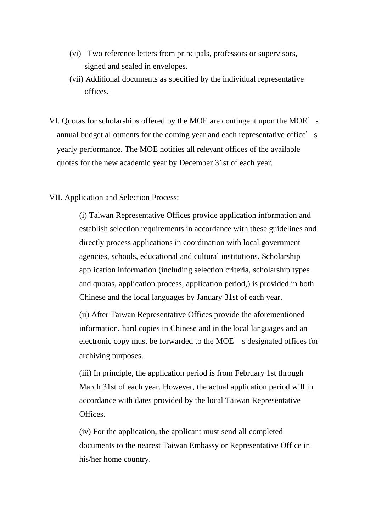- (vi) Two reference letters from principals, professors or supervisors, signed and sealed in envelopes.
- (vii) Additional documents as specified by the individual representative offices.
- VI. Quotas for scholarships offered by the MOE are contingent upon the MOE's annual budget allotments for the coming year and each representative office's yearly performance. The MOE notifies all relevant offices of the available quotas for the new academic year by December 31st of each year.
- VII. Application and Selection Process:

(i) Taiwan Representative Offices provide application information and establish selection requirements in accordance with these guidelines and directly process applications in coordination with local government agencies, schools, educational and cultural institutions. Scholarship application information (including selection criteria, scholarship types and quotas, application process, application period,) is provided in both Chinese and the local languages by January 31st of each year.

(ii) After Taiwan Representative Offices provide the aforementioned information, hard copies in Chinese and in the local languages and an electronic copy must be forwarded to the MOE's designated offices for archiving purposes.

(iii) In principle, the application period is from February 1st through March 31st of each year. However, the actual application period will in accordance with dates provided by the local Taiwan Representative Offices.

(iv) For the application, the applicant must send all completed documents to the nearest Taiwan Embassy or Representative Office in his/her home country.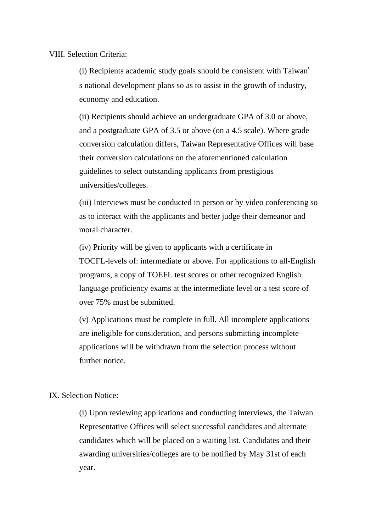### VIII. Selection Criteria:

(i) Recipients academic study goals should be consistent with Taiwan' s national development plans so as to assist in the growth of industry, economy and education.

(ii) Recipients should achieve an undergraduate GPA of 3.0 or above, and a postgraduate GPA of 3.5 or above (on a 4.5 scale). Where grade conversion calculation differs, Taiwan Representative Offices will base their conversion calculations on the aforementioned calculation guidelines to select outstanding applicants from prestigious universities/colleges.

(iii) Interviews must be conducted in person or by video conferencing so as to interact with the applicants and better judge their demeanor and moral character.

(iv) Priority will be given to applicants with a certificate in TOCFL-levels of: intermediate or above. For applications to all-English programs, a copy of TOEFL test scores or other recognized English language proficiency exams at the intermediate level or a test score of over 75% must be submitted.

(v) Applications must be complete in full. All incomplete applications are ineligible for consideration, and persons submitting incomplete applications will be withdrawn from the selection process without further notice.

# IX. Selection Notice:

(i) Upon reviewing applications and conducting interviews, the Taiwan Representative Offices will select successful candidates and alternate candidates which will be placed on a waiting list. Candidates and their awarding universities/colleges are to be notified by May 31st of each year.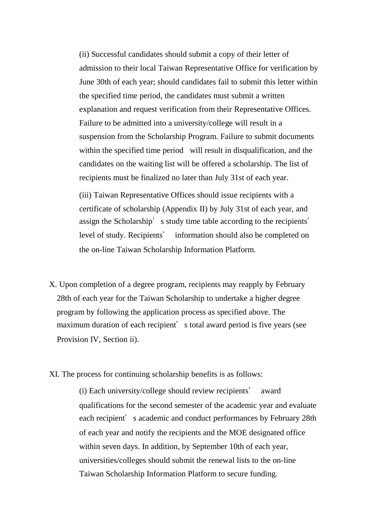(ii) Successful candidates should submit a copy of their letter of admission to their local Taiwan Representative Office for verification by June 30th of each year; should candidates fail to submit this letter within the specified time period, the candidates must submit a written explanation and request verification from their Representative Offices. Failure to be admitted into a university/college will result in a suspension from the Scholarship Program. Failure to submit documents within the specified time period will result in disqualification, and the candidates on the waiting list will be offered a scholarship. The list of recipients must be finalized no later than July 31st of each year.

(iii) Taiwan Representative Offices should issue recipients with a certificate of scholarship (Appendix II) by July 31st of each year, and assign the Scholarship's study time table according to the recipients' level of study. Recipients' information should also be completed on the on-line Taiwan Scholarship Information Platform.

- X. Upon completion of a degree program, recipients may reapply by February 28th of each year for the Taiwan Scholarship to undertake a higher degree program by following the application process as specified above. The maximum duration of each recipient's total award period is five years (see Provision IV, Section ii).
- XI. The process for continuing scholarship benefits is as follows:

(i) Each university/college should review recipients' award qualifications for the second semester of the academic year and evaluate each recipient's academic and conduct performances by February 28th of each year and notify the recipients and the MOE designated office within seven days. In addition, by September 10th of each year, universities/colleges should submit the renewal lists to the on-line Taiwan Scholarship Information Platform to secure funding.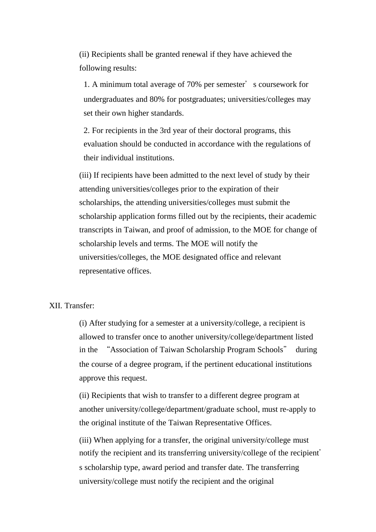(ii) Recipients shall be granted renewal if they have achieved the following results:

1. A minimum total average of 70% per semester's coursework for undergraduates and 80% for postgraduates; universities/colleges may set their own higher standards.

2. For recipients in the 3rd year of their doctoral programs, this evaluation should be conducted in accordance with the regulations of their individual institutions.

(iii) If recipients have been admitted to the next level of study by their attending universities/colleges prior to the expiration of their scholarships, the attending universities/colleges must submit the scholarship application forms filled out by the recipients, their academic transcripts in Taiwan, and proof of admission, to the MOE for change of scholarship levels and terms. The MOE will notify the universities/colleges, the MOE designated office and relevant representative offices.

# XII. Transfer:

(i) After studying for a semester at a university/college, a recipient is allowed to transfer once to another university/college/department listed in the "Association of Taiwan Scholarship Program Schools" during the course of a degree program, if the pertinent educational institutions approve this request.

(ii) Recipients that wish to transfer to a different degree program at another university/college/department/graduate school, must re-apply to the original institute of the Taiwan Representative Offices.

(iii) When applying for a transfer, the original university/college must notify the recipient and its transferring university/college of the recipient' s scholarship type, award period and transfer date. The transferring university/college must notify the recipient and the original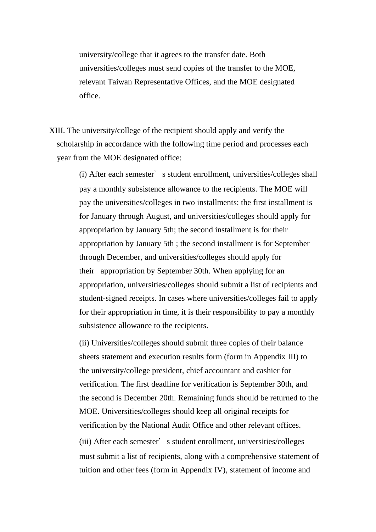university/college that it agrees to the transfer date. Both universities/colleges must send copies of the transfer to the MOE, relevant Taiwan Representative Offices, and the MOE designated office.

XIII. The university/college of the recipient should apply and verify the scholarship in accordance with the following time period and processes each year from the MOE designated office:

> (i) After each semester's student enrollment, universities/colleges shall pay a monthly subsistence allowance to the recipients. The MOE will pay the universities/colleges in two installments: the first installment is for January through August, and universities/colleges should apply for appropriation by January 5th; the second installment is for their appropriation by January 5th ; the second installment is for September through December, and universities/colleges should apply for their appropriation by September 30th. When applying for an appropriation, universities/colleges should submit a list of recipients and student-signed receipts. In cases where universities/colleges fail to apply for their appropriation in time, it is their responsibility to pay a monthly subsistence allowance to the recipients.

> (ii) Universities/colleges should submit three copies of their balance sheets statement and execution results form (form in Appendix III) to the university/college president, chief accountant and cashier for verification. The first deadline for verification is September 30th, and the second is December 20th. Remaining funds should be returned to the MOE. Universities/colleges should keep all original receipts for verification by the National Audit Office and other relevant offices. (iii) After each semester's student enrollment, universities/colleges must submit a list of recipients, along with a comprehensive statement of tuition and other fees (form in Appendix IV), statement of income and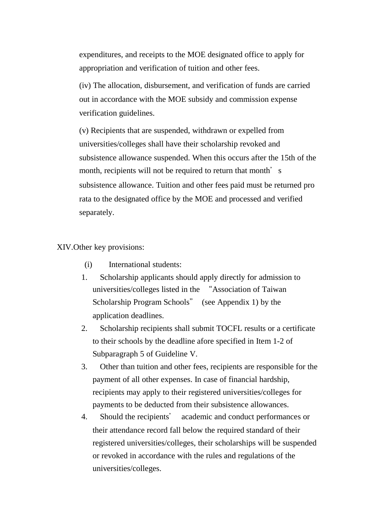expenditures, and receipts to the MOE designated office to apply for appropriation and verification of tuition and other fees.

(iv) The allocation, disbursement, and verification of funds are carried out in accordance with the MOE subsidy and commission expense verification guidelines.

(v) Recipients that are suspended, withdrawn or expelled from universities/colleges shall have their scholarship revoked and subsistence allowance suspended. When this occurs after the 15th of the month, recipients will not be required to return that month's subsistence allowance. Tuition and other fees paid must be returned pro rata to the designated office by the MOE and processed and verified separately.

XIV.Other key provisions:

- (i) International students:
- 1. Scholarship applicants should apply directly for admission to universities/colleges listed in the "Association of Taiwan Scholarship Program Schools" (see Appendix 1) by the application deadlines.
- 2. Scholarship recipients shall submit TOCFL results or a certificate to their schools by the deadline afore specified in Item 1-2 of Subparagraph 5 of Guideline V.
- 3. Other than tuition and other fees, recipients are responsible for the payment of all other expenses. In case of financial hardship, recipients may apply to their registered universities/colleges for payments to be deducted from their subsistence allowances.
- 4. Should the recipients' academic and conduct performances or their attendance record fall below the required standard of their registered universities/colleges, their scholarships will be suspended or revoked in accordance with the rules and regulations of the universities/colleges.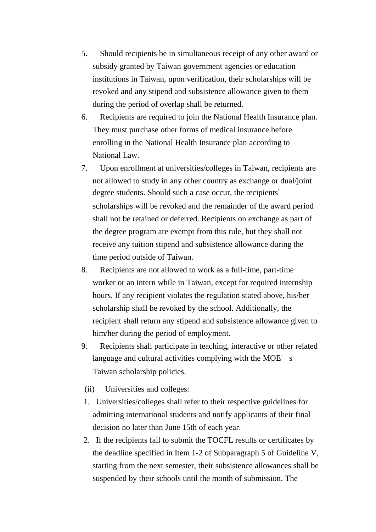- 5. Should recipients be in simultaneous receipt of any other award or subsidy granted by Taiwan government agencies or education institutions in Taiwan, upon verification, their scholarships will be revoked and any stipend and subsistence allowance given to them during the period of overlap shall be returned.
- 6. Recipients are required to join the National Health Insurance plan. They must purchase other forms of medical insurance before enrolling in the National Health Insurance plan according to National Law.
- 7. Upon enrollment at universities/colleges in Taiwan, recipients are not allowed to study in any other country as exchange or dual/joint degree students. Should such a case occur, the recipients' scholarships will be revoked and the remainder of the award period shall not be retained or deferred. Recipients on exchange as part of the degree program are exempt from this rule, but they shall not receive any tuition stipend and subsistence allowance during the time period outside of Taiwan.
- 8. Recipients are not allowed to work as a full-time, part-time worker or an intern while in Taiwan, except for required internship hours. If any recipient violates the regulation stated above, his/her scholarship shall be revoked by the school. Additionally, the recipient shall return any stipend and subsistence allowance given to him/her during the period of employment.
- 9. Recipients shall participate in teaching, interactive or other related language and cultural activities complying with the MOE's Taiwan scholarship policies.
- (ii) Universities and colleges:
- 1. Universities/colleges shall refer to their respective guidelines for admitting international students and notify applicants of their final decision no later than June 15th of each year.
- 2. If the recipients fail to submit the TOCFL results or certificates by the deadline specified in Item 1-2 of Subparagraph 5 of Guideline V, starting from the next semester, their subsistence allowances shall be suspended by their schools until the month of submission. The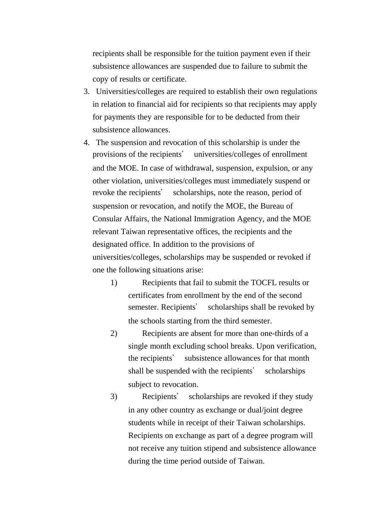recipients shall be responsible for the tuition payment even if their subsistence allowances are suspended due to failure to submit the copy of results or certificate.

- 3. Universities/colleges are required to establish their own regulations in relation to financial aid for recipients so that recipients may apply for payments they are responsible for to be deducted from their subsistence allowances.
- 4. The suspension and revocation of this scholarship is under the provisions of the recipients' universities/colleges of enrollment and the MOE. In case of withdrawal, suspension, expulsion, or any other violation, universities/colleges must immediately suspend or revoke the recipients' scholarships, note the reason, period of suspension or revocation, and notify the MOE, the Bureau of Consular Affairs, the National Immigration Agency, and the MOE relevant Taiwan representative offices, the recipients and the designated office. In addition to the provisions of universities/colleges, scholarships may be suspended or revoked if one the following situations arise:
	- 1) Recipients that fail to submit the TOCFL results or certificates from enrollment by the end of the second semester. Recipients' scholarships shall be revoked by the schools starting from the third semester.
	- 2) Recipients are absent for more than one-thirds of a single month excluding school breaks. Upon verification, the recipients' subsistence allowances for that month shall be suspended with the recipients' scholarships subject to revocation.
	- 3) Recipients' scholarships are revoked if they study in any other country as exchange or dual/joint degree students while in receipt of their Taiwan scholarships. Recipients on exchange as part of a degree program will not receive any tuition stipend and subsistence allowance during the time period outside of Taiwan.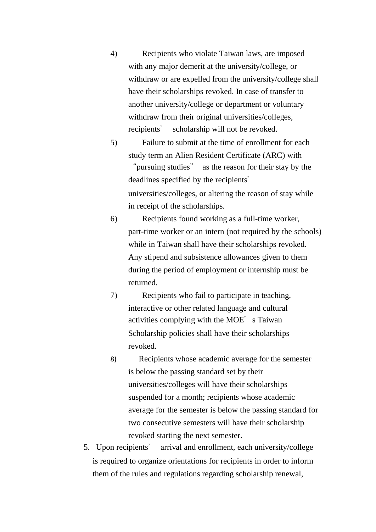4) Recipients who violate Taiwan laws, are imposed with any major demerit at the university/college, or withdraw or are expelled from the university/college shall have their scholarships revoked. In case of transfer to another university/college or department or voluntary withdraw from their original universities/colleges, recipients' scholarship will not be revoked.

5) Failure to submit at the time of enrollment for each study term an Alien Resident Certificate (ARC) with "pursuing studies" as the reason for their stay by the deadlines specified by the recipients' universities/colleges, or altering the reason of stay while in receipt of the scholarships.

- 6) Recipients found working as a full-time worker, part-time worker or an intern (not required by the schools) while in Taiwan shall have their scholarships revoked. Any stipend and subsistence allowances given to them during the period of employment or internship must be returned.
- 7) Recipients who fail to participate in teaching, interactive or other related language and cultural activities complying with the MOE's Taiwan Scholarship policies shall have their scholarships revoked.
- 8) Recipients whose academic average for the semester is below the passing standard set by their universities/colleges will have their scholarships suspended for a month; recipients whose academic average for the semester is below the passing standard for two consecutive semesters will have their scholarship revoked starting the next semester.
- 5. Upon recipients' arrival and enrollment, each university/college is required to organize orientations for recipients in order to inform them of the rules and regulations regarding scholarship renewal,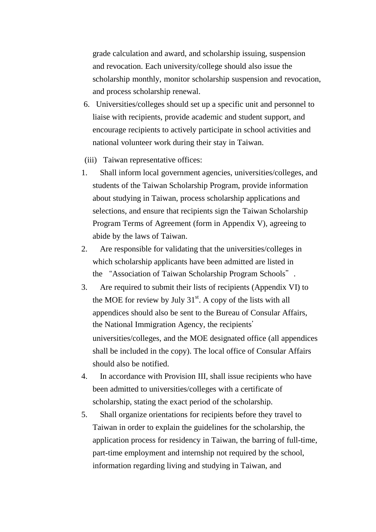grade calculation and award, and scholarship issuing, suspension and revocation. Each university/college should also issue the scholarship monthly, monitor scholarship suspension and revocation, and process scholarship renewal.

- 6. Universities/colleges should set up a specific unit and personnel to liaise with recipients, provide academic and student support, and encourage recipients to actively participate in school activities and national volunteer work during their stay in Taiwan.
- (iii) Taiwan representative offices:
- 1. Shall inform local government agencies, universities/colleges, and students of the Taiwan Scholarship Program, provide information about studying in Taiwan, process scholarship applications and selections, and ensure that recipients sign the Taiwan Scholarship Program Terms of Agreement (form in Appendix V), agreeing to abide by the laws of Taiwan.
- 2. Are responsible for validating that the universities/colleges in which scholarship applicants have been admitted are listed in the "Association of Taiwan Scholarship Program Schools".
- 3. Are required to submit their lists of recipients (Appendix VI) to the MOE for review by July  $31<sup>st</sup>$ . A copy of the lists with all appendices should also be sent to the Bureau of Consular Affairs, the National Immigration Agency, the recipients' universities/colleges, and the MOE designated office (all appendices shall be included in the copy). The local office of Consular Affairs should also be notified.
- 4. In accordance with Provision III, shall issue recipients who have been admitted to universities/colleges with a certificate of scholarship, stating the exact period of the scholarship.
- 5. Shall organize orientations for recipients before they travel to Taiwan in order to explain the guidelines for the scholarship, the application process for residency in Taiwan, the barring of full-time, part-time employment and internship not required by the school, information regarding living and studying in Taiwan, and